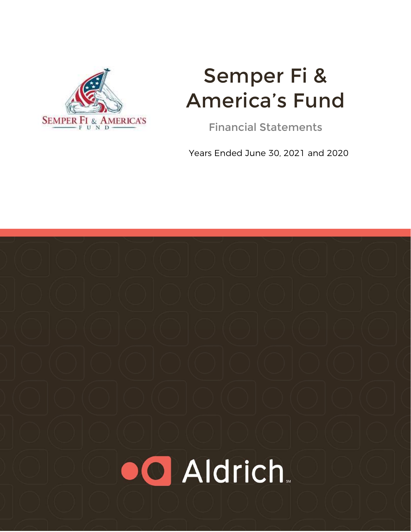

# Semper Fi & America's Fund

Financial Statements

Years Ended June 30, 2021 and 2020

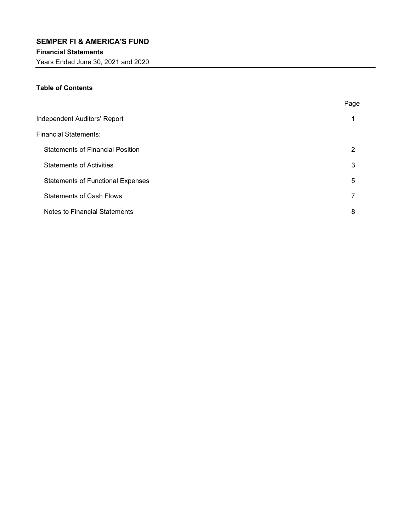Years Ended June 30, 2021 and 2020

# Table of Contents

|                                          | Page |
|------------------------------------------|------|
| Independent Auditors' Report             |      |
| Financial Statements:                    |      |
| <b>Statements of Financial Position</b>  | 2    |
| <b>Statements of Activities</b>          | 3    |
| <b>Statements of Functional Expenses</b> | 5    |
| <b>Statements of Cash Flows</b>          |      |
| Notes to Financial Statements            | 8    |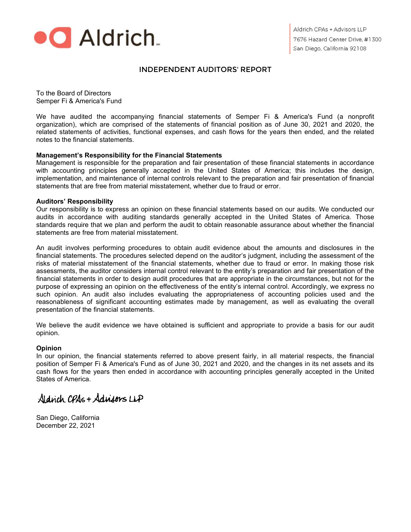

# INDEPENDENT AUDITORS' REPORT

To the Board of Directors Semper Fi & America's Fund

We have audited the accompanying financial statements of Semper Fi & America's Fund (a nonprofit organization), which are comprised of the statements of financial position as of June 30, 2021 and 2020, the related statements of activities, functional expenses, and cash flows for the years then ended, and the related notes to the financial statements.

#### Management's Responsibility for the Financial Statements

Management is responsible for the preparation and fair presentation of these financial statements in accordance with accounting principles generally accepted in the United States of America; this includes the design, implementation, and maintenance of internal controls relevant to the preparation and fair presentation of financial statements that are free from material misstatement, whether due to fraud or error.

#### Auditors' Responsibility

Our responsibility is to express an opinion on these financial statements based on our audits. We conducted our audits in accordance with auditing standards generally accepted in the United States of America. Those standards require that we plan and perform the audit to obtain reasonable assurance about whether the financial statements are free from material misstatement.

An audit involves performing procedures to obtain audit evidence about the amounts and disclosures in the financial statements. The procedures selected depend on the auditor's judgment, including the assessment of the risks of material misstatement of the financial statements, whether due to fraud or error. In making those risk assessments, the auditor considers internal control relevant to the entity's preparation and fair presentation of the financial statements in order to design audit procedures that are appropriate in the circumstances, but not for the purpose of expressing an opinion on the effectiveness of the entity's internal control. Accordingly, we express no such opinion. An audit also includes evaluating the appropriateness of accounting policies used and the reasonableness of significant accounting estimates made by management, as well as evaluating the overall presentation of the financial statements.

We believe the audit evidence we have obtained is sufficient and appropriate to provide a basis for our audit opinion.

#### **Opinion**

In our opinion, the financial statements referred to above present fairly, in all material respects, the financial position of Semper Fi & America's Fund as of June 30, 2021 and 2020, and the changes in its net assets and its cash flows for the years then ended in accordance with accounting principles generally accepted in the United States of America.

Aldrich CPAs + Adrigons LLP

San Diego, California December 22, 2021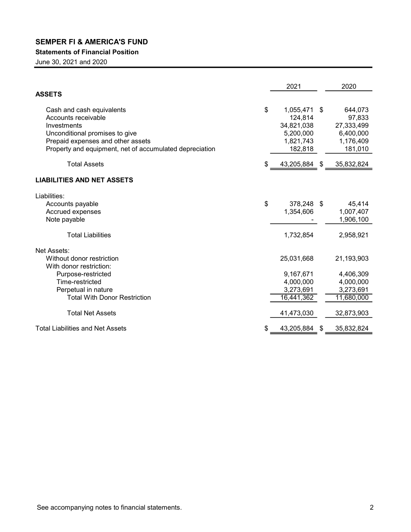# Statements of Financial Position

June 30, 2021 and 2020

|                                                                                                                                                                                                   | 2021                                                                          |   | 2020                                                                 |
|---------------------------------------------------------------------------------------------------------------------------------------------------------------------------------------------------|-------------------------------------------------------------------------------|---|----------------------------------------------------------------------|
| <b>ASSETS</b>                                                                                                                                                                                     |                                                                               |   |                                                                      |
| Cash and cash equivalents<br>Accounts receivable<br>Investments<br>Unconditional promises to give<br>Prepaid expenses and other assets<br>Property and equipment, net of accumulated depreciation | \$<br>1,055,471<br>124,814<br>34,821,038<br>5,200,000<br>1,821,743<br>182,818 | S | 644,073<br>97,833<br>27,333,499<br>6,400,000<br>1,176,409<br>181,010 |
| <b>Total Assets</b>                                                                                                                                                                               | \$<br>43,205,884 \$                                                           |   | 35,832,824                                                           |
| <b>LIABILITIES AND NET ASSETS</b>                                                                                                                                                                 |                                                                               |   |                                                                      |
| Liabilities:                                                                                                                                                                                      |                                                                               |   |                                                                      |
| Accounts payable<br>Accrued expenses<br>Note payable                                                                                                                                              | \$<br>378,248 \$<br>1,354,606                                                 |   | 45,414<br>1,007,407<br>1,906,100                                     |
| <b>Total Liabilities</b>                                                                                                                                                                          | 1,732,854                                                                     |   | 2,958,921                                                            |
| Net Assets:                                                                                                                                                                                       |                                                                               |   |                                                                      |
| Without donor restriction<br>With donor restriction:                                                                                                                                              | 25,031,668                                                                    |   | 21,193,903                                                           |
| Purpose-restricted                                                                                                                                                                                | 9,167,671                                                                     |   | 4,406,309                                                            |
| Time-restricted                                                                                                                                                                                   | 4,000,000                                                                     |   | 4,000,000                                                            |
| Perpetual in nature                                                                                                                                                                               | 3,273,691                                                                     |   | 3,273,691                                                            |
| <b>Total With Donor Restriction</b>                                                                                                                                                               | 16,441,362                                                                    |   | 11,680,000                                                           |
| <b>Total Net Assets</b>                                                                                                                                                                           | 41,473,030                                                                    |   | 32,873,903                                                           |
| <b>Total Liabilities and Net Assets</b>                                                                                                                                                           | 43,205,884                                                                    | S | 35,832,824                                                           |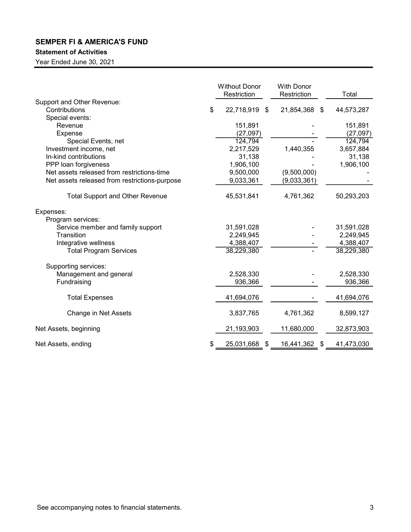# Statement of Activities

|                                               | <b>Without Donor</b><br>Restriction | <b>With Donor</b><br>Restriction | Total            |
|-----------------------------------------------|-------------------------------------|----------------------------------|------------------|
| Support and Other Revenue:                    |                                     |                                  |                  |
| Contributions                                 | \$<br>22,718,919<br>-\$             | 21,854,368 \$                    | 44,573,287       |
| Special events:                               |                                     |                                  |                  |
| Revenue                                       | 151,891                             |                                  | 151,891          |
| <b>Expense</b>                                | (27,097)                            |                                  | (27,097)         |
| Special Events, net                           | 124,794                             |                                  | 124,794          |
| Investment income, net                        | 2,217,529                           | 1,440,355                        | 3,657,884        |
| In-kind contributions                         | 31,138                              |                                  | 31,138           |
| PPP loan forgiveness                          | 1,906,100                           |                                  | 1,906,100        |
| Net assets released from restrictions-time    | 9,500,000                           | (9,500,000)                      |                  |
| Net assets released from restrictions-purpose | 9,033,361                           | (9,033,361)                      |                  |
| <b>Total Support and Other Revenue</b>        | 45,531,841                          | 4,761,362                        | 50,293,203       |
| Expenses:<br>Program services:                |                                     |                                  |                  |
| Service member and family support             | 31,591,028                          |                                  | 31,591,028       |
| Transition                                    | 2,249,945                           |                                  | 2,249,945        |
| Integrative wellness                          | 4,388,407                           |                                  | 4,388,407        |
| <b>Total Program Services</b>                 | 38,229,380                          |                                  | 38,229,380       |
| Supporting services:                          |                                     |                                  |                  |
| Management and general                        | 2,528,330                           |                                  | 2,528,330        |
| Fundraising                                   | 936,366                             |                                  | 936,366          |
|                                               |                                     |                                  |                  |
| <b>Total Expenses</b>                         | 41,694,076                          |                                  | 41,694,076       |
| Change in Net Assets                          | 3,837,765                           | 4,761,362                        | 8,599,127        |
| Net Assets, beginning                         | 21,193,903                          | 11,680,000                       | 32,873,903       |
| Net Assets, ending                            | \$<br>25,031,668 \$                 | 16,441,362                       | \$<br>41,473,030 |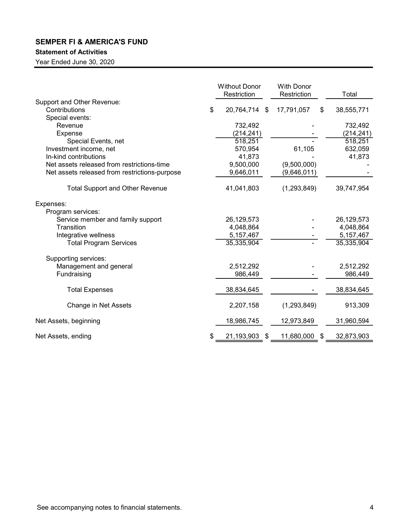# Statement of Activities

|                                               | <b>Without Donor</b><br>Restriction | <b>With Donor</b><br>Restriction |      | Total      |
|-----------------------------------------------|-------------------------------------|----------------------------------|------|------------|
| Support and Other Revenue:                    |                                     |                                  |      |            |
| Contributions<br>Special events:              | \$<br>20,764,714 \$                 | 17,791,057                       | \$   | 38,555,771 |
| Revenue                                       | 732,492                             |                                  |      | 732,492    |
| Expense                                       | (214, 241)                          |                                  |      | (214, 241) |
| Special Events, net                           | 518,251                             |                                  |      | 518,251    |
| Investment income, net                        | 570,954                             | 61,105                           |      | 632,059    |
| In-kind contributions                         | 41,873                              |                                  |      | 41,873     |
| Net assets released from restrictions-time    | 9,500,000                           | (9,500,000)                      |      |            |
| Net assets released from restrictions-purpose | 9,646,011                           | (9,646,011)                      |      |            |
|                                               |                                     |                                  |      |            |
| <b>Total Support and Other Revenue</b>        | 41,041,803                          | (1,293,849)                      |      | 39,747,954 |
| Expenses:                                     |                                     |                                  |      |            |
| Program services:                             |                                     |                                  |      |            |
| Service member and family support             | 26,129,573                          |                                  |      | 26,129,573 |
| Transition                                    | 4,048,864                           |                                  |      | 4,048,864  |
| Integrative wellness                          | 5,157,467                           |                                  |      | 5,157,467  |
| <b>Total Program Services</b>                 | 35,335,904                          |                                  |      | 35,335,904 |
| Supporting services:                          |                                     |                                  |      |            |
| Management and general                        | 2,512,292                           |                                  |      | 2,512,292  |
| Fundraising                                   | 986,449                             |                                  |      | 986,449    |
| <b>Total Expenses</b>                         | 38,834,645                          |                                  |      | 38,834,645 |
| Change in Net Assets                          | 2,207,158                           | (1, 293, 849)                    |      | 913,309    |
| Net Assets, beginning                         | 18,986,745                          | 12,973,849                       |      | 31,960,594 |
| Net Assets, ending                            | 21,193,903<br>- \$                  | 11,680,000                       | - \$ | 32,873,903 |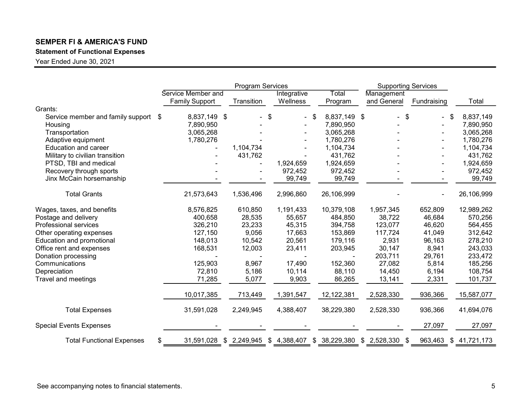# Statement of Functional Expenses

|                                   |                       | Program Services          |             |                 |     | <b>Supporting Services</b> |                           |             |              |
|-----------------------------------|-----------------------|---------------------------|-------------|-----------------|-----|----------------------------|---------------------------|-------------|--------------|
|                                   | Service Member and    |                           | Integrative | Total           |     | Management                 |                           |             |              |
|                                   | <b>Family Support</b> | Transition                | Wellness    | Program         |     | and General                |                           | Fundraising | Total        |
| Grants:                           |                       |                           |             |                 |     |                            |                           |             |              |
| Service member and family support | 8,837,149 \$<br>\$    |                           | \$          | \$<br>8,837,149 | -\$ |                            | $\boldsymbol{\mathsf{S}}$ |             | 8,837,149    |
| Housing                           | 7,890,950             |                           |             | 7,890,950       |     |                            |                           |             | 7,890,950    |
| Transportation                    | 3,065,268             |                           |             | 3,065,268       |     |                            |                           |             | 3,065,268    |
| Adaptive equipment                | 1,780,276             |                           |             | 1,780,276       |     |                            |                           |             | 1,780,276    |
| <b>Education and career</b>       |                       | 1,104,734                 |             | 1,104,734       |     |                            |                           |             | 1,104,734    |
| Military to civilian transition   |                       | 431,762                   |             | 431,762         |     |                            |                           |             | 431,762      |
| PTSD, TBI and medical             |                       |                           | 1,924,659   | 1,924,659       |     |                            |                           |             | 1,924,659    |
| Recovery through sports           |                       |                           | 972,452     | 972,452         |     |                            |                           |             | 972,452      |
| Jinx McCain horsemanship          |                       |                           | 99,749      | 99,749          |     |                            |                           |             | 99,749       |
| <b>Total Grants</b>               | 21,573,643            | 1,536,496                 | 2,996,860   | 26,106,999      |     |                            |                           |             | 26,106,999   |
| Wages, taxes, and benefits        | 8,576,825             | 610,850                   | 1,191,433   | 10,379,108      |     | 1,957,345                  |                           | 652,809     | 12,989,262   |
| Postage and delivery              | 400,658               | 28,535                    | 55,657      | 484,850         |     | 38,722                     |                           | 46,684      | 570,256      |
| Professional services             | 326,210               | 23,233                    | 45,315      | 394,758         |     | 123,077                    |                           | 46,620      | 564,455      |
| Other operating expenses          | 127,150               | 9,056                     | 17,663      | 153,869         |     | 117,724                    |                           | 41,049      | 312,642      |
| Education and promotional         | 148,013               | 10,542                    | 20,561      | 179,116         |     | 2,931                      |                           | 96,163      | 278,210      |
| Office rent and expenses          | 168,531               | 12,003                    | 23,411      | 203,945         |     | 30,147                     |                           | 8,941       | 243,033      |
| Donation processing               |                       |                           |             |                 |     | 203,711                    |                           | 29,761      | 233,472      |
| Communications                    | 125,903               | 8,967                     | 17,490      | 152,360         |     | 27,082                     |                           | 5,814       | 185,256      |
| Depreciation                      | 72,810                | 5,186                     | 10,114      | 88,110          |     | 14,450                     |                           | 6,194       | 108,754      |
| Travel and meetings               | 71,285                | 5,077                     | 9,903       | 86,265          |     | 13,141                     |                           | 2,331       | 101,737      |
|                                   | 10,017,385            | 713,449                   | 1,391,547   | 12,122,381      |     | 2,528,330                  |                           | 936,366     | 15,587,077   |
| <b>Total Expenses</b>             | 31,591,028            | 2,249,945                 | 4,388,407   | 38,229,380      |     | 2,528,330                  |                           | 936,366     | 41,694,076   |
| <b>Special Events Expenses</b>    |                       |                           |             |                 |     |                            |                           | 27,097      | 27,097       |
| <b>Total Functional Expenses</b>  | \$<br>31,591,028      | $$2,249,945$ $$4,388,407$ |             | \$ 38,229,380   |     | $$2,528,330$ \$            |                           | 963,463     | \$41,721,173 |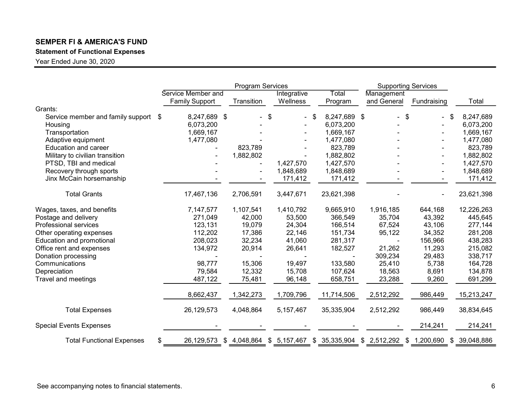# Statement of Functional Expenses

|                                   |                       | <b>Program Services</b> |                           |                    | <b>Supporting Services</b>              |             |               |
|-----------------------------------|-----------------------|-------------------------|---------------------------|--------------------|-----------------------------------------|-------------|---------------|
|                                   | Service Member and    |                         | Integrative               | Total              | Management                              |             |               |
|                                   | <b>Family Support</b> | Transition              | Wellness                  | Program            | and General                             | Fundraising | Total         |
| Grants:                           |                       |                         |                           |                    |                                         |             |               |
| Service member and family support | 8,247,689 \$<br>\$    |                         | \$                        | 8,247,689 \$<br>\$ | $\boldsymbol{\mathsf{S}}$               |             | 8,247,689     |
| Housing                           | 6,073,200             |                         |                           | 6,073,200          |                                         |             | 6,073,200     |
| Transportation                    | 1,669,167             |                         |                           | 1,669,167          |                                         |             | 1,669,167     |
| Adaptive equipment                | 1,477,080             |                         |                           | 1,477,080          |                                         |             | 1,477,080     |
| <b>Education and career</b>       |                       | 823,789                 |                           | 823,789            |                                         |             | 823,789       |
| Military to civilian transition   |                       | 1,882,802               |                           | 1,882,802          |                                         |             | 1,882,802     |
| PTSD, TBI and medical             |                       |                         | 1,427,570                 | 1,427,570          |                                         |             | 1,427,570     |
| Recovery through sports           |                       |                         | 1,848,689                 | 1,848,689          |                                         |             | 1,848,689     |
| Jinx McCain horsemanship          |                       |                         | 171,412                   | 171,412            |                                         |             | 171,412       |
| <b>Total Grants</b>               | 17,467,136            | 2,706,591               | 3,447,671                 | 23,621,398         |                                         |             | 23,621,398    |
| Wages, taxes, and benefits        | 7,147,577             | 1,107,541               | 1,410,792                 | 9,665,910          | 1,916,185                               | 644,168     | 12,226,263    |
| Postage and delivery              | 271,049               | 42,000                  | 53,500                    | 366,549            | 35,704                                  | 43,392      | 445,645       |
| Professional services             | 123,131               | 19,079                  | 24,304                    | 166,514            | 67,524                                  | 43,106      | 277,144       |
| Other operating expenses          | 112,202               | 17,386                  | 22,146                    | 151,734            | 95,122                                  | 34,352      | 281,208       |
| Education and promotional         | 208,023               | 32,234                  | 41,060                    | 281,317            |                                         | 156,966     | 438,283       |
| Office rent and expenses          | 134,972               | 20,914                  | 26,641                    | 182,527            | 21,262                                  | 11,293      | 215,082       |
| Donation processing               |                       |                         |                           |                    | 309,234                                 | 29,483      | 338,717       |
| Communications                    | 98,777                | 15,306                  | 19,497                    | 133,580            | 25,410                                  | 5,738       | 164,728       |
| Depreciation                      | 79,584                | 12,332                  | 15,708                    | 107,624            | 18,563                                  | 8,691       | 134,878       |
| Travel and meetings               | 487,122               | 75,481                  | 96,148                    | 658,751            | 23,288                                  | 9,260       | 691,299       |
|                                   | 8,662,437             | 1,342,273               | 1,709,796                 | 11,714,506         | 2,512,292                               | 986,449     | 15,213,247    |
| <b>Total Expenses</b>             | 26,129,573            | 4,048,864               | 5, 157, 467               | 35,335,904         | 2,512,292                               | 986,449     | 38,834,645    |
| <b>Special Events Expenses</b>    |                       |                         |                           |                    |                                         | 214,241     | 214,241       |
| <b>Total Functional Expenses</b>  | \$<br>26,129,573      |                         | $$4,048,864$ $$5,157,467$ |                    | \$ 35,335,904 \$ 2,512,292 \$ 1,200,690 |             | \$ 39,048,886 |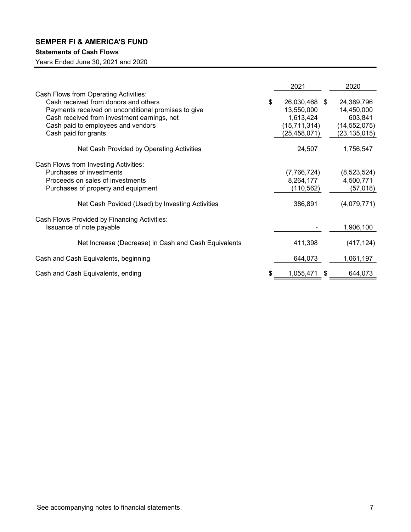# Statements of Cash Flows

Years Ended June 30, 2021 and 2020

|                                                      |    | 2021           |                |
|------------------------------------------------------|----|----------------|----------------|
| Cash Flows from Operating Activities:                |    |                | 2020           |
| Cash received from donors and others                 | \$ | 26,030,468 \$  | 24,389,796     |
| Payments received on unconditional promises to give  |    | 13,550,000     | 14,450,000     |
| Cash received from investment earnings, net          |    | 1,613,424      | 603,841        |
| Cash paid to employees and vendors                   |    | (15, 711, 314) | (14, 552, 075) |
| Cash paid for grants                                 |    | (25, 458, 071) | (23, 135, 015) |
| Net Cash Provided by Operating Activities            |    | 24,507         | 1,756,547      |
| Cash Flows from Investing Activities:                |    |                |                |
| Purchases of investments                             |    | (7,766,724)    | (8,523,524)    |
| Proceeds on sales of investments                     |    | 8,264,177      | 4,500,771      |
| Purchases of property and equipment                  |    | (110, 562)     | (57, 018)      |
| Net Cash Povided (Used) by Investing Activities      |    | 386,891        | (4,079,771)    |
| Cash Flows Provided by Financing Activities:         |    |                |                |
| Issuance of note payable                             |    |                | 1,906,100      |
| Net Increase (Decrease) in Cash and Cash Equivalents |    | 411,398        | (417, 124)     |
| Cash and Cash Equivalents, beginning                 |    | 644,073        | 1,061,197      |
| Cash and Cash Equivalents, ending                    | S  | 1,055,471      | \$<br>644,073  |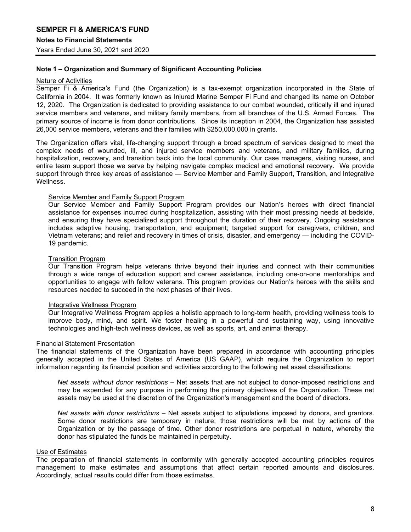# Note 1 – Organization and Summary of Significant Accounting Policies

#### Nature of Activities

Semper Fi & America's Fund (the Organization) is a tax-exempt organization incorporated in the State of California in 2004. It was formerly known as Injured Marine Semper Fi Fund and changed its name on October 12, 2020. The Organization is dedicated to providing assistance to our combat wounded, critically ill and injured service members and veterans, and military family members, from all branches of the U.S. Armed Forces. The primary source of income is from donor contributions. Since its inception in 2004, the Organization has assisted 26,000 service members, veterans and their families with \$250,000,000 in grants.

The Organization offers vital, life-changing support through a broad spectrum of services designed to meet the complex needs of wounded, ill, and injured service members and veterans, and military families, during hospitalization, recovery, and transition back into the local community. Our case managers, visiting nurses, and entire team support those we serve by helping navigate complex medical and emotional recovery. We provide support through three key areas of assistance — Service Member and Family Support, Transition, and Integrative Wellness.

#### Service Member and Family Support Program

Our Service Member and Family Support Program provides our Nation's heroes with direct financial assistance for expenses incurred during hospitalization, assisting with their most pressing needs at bedside, and ensuring they have specialized support throughout the duration of their recovery. Ongoing assistance includes adaptive housing, transportation, and equipment; targeted support for caregivers, children, and Vietnam veterans; and relief and recovery in times of crisis, disaster, and emergency — including the COVID-19 pandemic.

#### Transition Program

Our Transition Program helps veterans thrive beyond their injuries and connect with their communities through a wide range of education support and career assistance, including one-on-one mentorships and opportunities to engage with fellow veterans. This program provides our Nation's heroes with the skills and resources needed to succeed in the next phases of their lives.

#### Integrative Wellness Program

Our Integrative Wellness Program applies a holistic approach to long-term health, providing wellness tools to improve body, mind, and spirit. We foster healing in a powerful and sustaining way, using innovative technologies and high-tech wellness devices, as well as sports, art, and animal therapy.

#### Financial Statement Presentation

The financial statements of the Organization have been prepared in accordance with accounting principles generally accepted in the United States of America (US GAAP), which require the Organization to report information regarding its financial position and activities according to the following net asset classifications:

Net assets without donor restrictions – Net assets that are not subject to donor-imposed restrictions and may be expended for any purpose in performing the primary objectives of the Organization. These net assets may be used at the discretion of the Organization's management and the board of directors.

Net assets with donor restrictions – Net assets subject to stipulations imposed by donors, and grantors. Some donor restrictions are temporary in nature; those restrictions will be met by actions of the Organization or by the passage of time. Other donor restrictions are perpetual in nature, whereby the donor has stipulated the funds be maintained in perpetuity.

#### Use of Estimates

The preparation of financial statements in conformity with generally accepted accounting principles requires management to make estimates and assumptions that affect certain reported amounts and disclosures. Accordingly, actual results could differ from those estimates.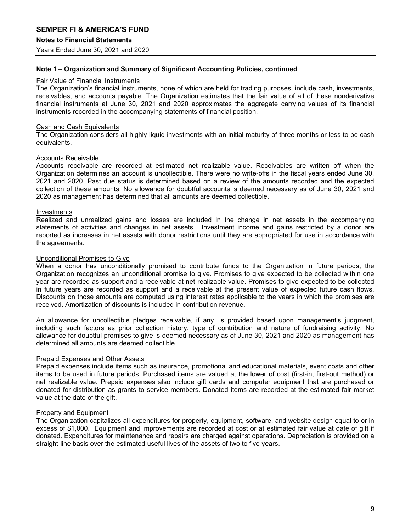## Note 1 – Organization and Summary of Significant Accounting Policies, continued

#### Fair Value of Financial Instruments

The Organization's financial instruments, none of which are held for trading purposes, include cash, investments, receivables, and accounts payable. The Organization estimates that the fair value of all of these nonderivative financial instruments at June 30, 2021 and 2020 approximates the aggregate carrying values of its financial instruments recorded in the accompanying statements of financial position.

#### Cash and Cash Equivalents

The Organization considers all highly liquid investments with an initial maturity of three months or less to be cash equivalents.

#### Accounts Receivable

Accounts receivable are recorded at estimated net realizable value. Receivables are written off when the Organization determines an account is uncollectible. There were no write-offs in the fiscal years ended June 30, 2021 and 2020. Past due status is determined based on a review of the amounts recorded and the expected collection of these amounts. No allowance for doubtful accounts is deemed necessary as of June 30, 2021 and 2020 as management has determined that all amounts are deemed collectible.

#### Investments

Realized and unrealized gains and losses are included in the change in net assets in the accompanying statements of activities and changes in net assets. Investment income and gains restricted by a donor are reported as increases in net assets with donor restrictions until they are appropriated for use in accordance with the agreements.

#### Unconditional Promises to Give

When a donor has unconditionally promised to contribute funds to the Organization in future periods, the Organization recognizes an unconditional promise to give. Promises to give expected to be collected within one year are recorded as support and a receivable at net realizable value. Promises to give expected to be collected in future years are recorded as support and a receivable at the present value of expected future cash flows. Discounts on those amounts are computed using interest rates applicable to the years in which the promises are received. Amortization of discounts is included in contribution revenue.

An allowance for uncollectible pledges receivable, if any, is provided based upon management's judgment, including such factors as prior collection history, type of contribution and nature of fundraising activity. No allowance for doubtful promises to give is deemed necessary as of June 30, 2021 and 2020 as management has determined all amounts are deemed collectible.

#### Prepaid Expenses and Other Assets

Prepaid expenses include items such as insurance, promotional and educational materials, event costs and other items to be used in future periods. Purchased items are valued at the lower of cost (first-in, first-out method) or net realizable value. Prepaid expenses also include gift cards and computer equipment that are purchased or donated for distribution as grants to service members. Donated items are recorded at the estimated fair market value at the date of the gift.

#### Property and Equipment

The Organization capitalizes all expenditures for property, equipment, software, and website design equal to or in excess of \$1,000. Equipment and improvements are recorded at cost or at estimated fair value at date of gift if donated. Expenditures for maintenance and repairs are charged against operations. Depreciation is provided on a straight-line basis over the estimated useful lives of the assets of two to five years.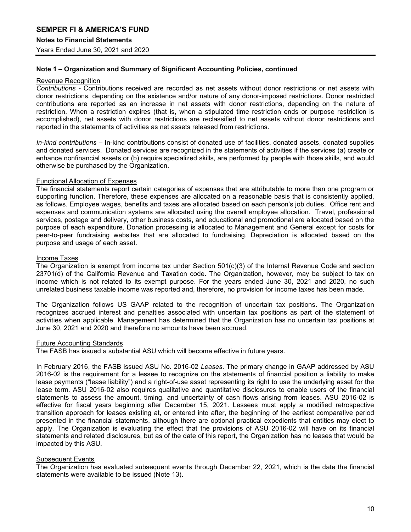# Note 1 – Organization and Summary of Significant Accounting Policies, continued

#### Revenue Recognition

Contributions - Contributions received are recorded as net assets without donor restrictions or net assets with donor restrictions, depending on the existence and/or nature of any donor-imposed restrictions. Donor restricted contributions are reported as an increase in net assets with donor restrictions, depending on the nature of restriction. When a restriction expires (that is, when a stipulated time restriction ends or purpose restriction is accomplished), net assets with donor restrictions are reclassified to net assets without donor restrictions and reported in the statements of activities as net assets released from restrictions.

In-kind contributions – In-kind contributions consist of donated use of facilities, donated assets, donated supplies and donated services. Donated services are recognized in the statements of activities if the services (a) create or enhance nonfinancial assets or (b) require specialized skills, are performed by people with those skills, and would otherwise be purchased by the Organization.

#### Functional Allocation of Expenses

The financial statements report certain categories of expenses that are attributable to more than one program or supporting function. Therefore, these expenses are allocated on a reasonable basis that is consistently applied, as follows. Employee wages, benefits and taxes are allocated based on each person's job duties. Office rent and expenses and communication systems are allocated using the overall employee allocation. Travel, professional services, postage and delivery, other business costs, and educational and promotional are allocated based on the purpose of each expenditure. Donation processing is allocated to Management and General except for costs for peer-to-peer fundraising websites that are allocated to fundraising. Depreciation is allocated based on the purpose and usage of each asset.

#### Income Taxes

The Organization is exempt from income tax under Section 501(c)(3) of the Internal Revenue Code and section 23701(d) of the California Revenue and Taxation code. The Organization, however, may be subject to tax on income which is not related to its exempt purpose. For the years ended June 30, 2021 and 2020, no such unrelated business taxable income was reported and, therefore, no provision for income taxes has been made.

The Organization follows US GAAP related to the recognition of uncertain tax positions. The Organization recognizes accrued interest and penalties associated with uncertain tax positions as part of the statement of activities when applicable. Management has determined that the Organization has no uncertain tax positions at June 30, 2021 and 2020 and therefore no amounts have been accrued.

#### Future Accounting Standards

The FASB has issued a substantial ASU which will become effective in future years.

In February 2016, the FASB issued ASU No. 2016-02 Leases. The primary change in GAAP addressed by ASU 2016-02 is the requirement for a lessee to recognize on the statements of financial position a liability to make lease payments ("lease liability") and a right-of-use asset representing its right to use the underlying asset for the lease term. ASU 2016-02 also requires qualitative and quantitative disclosures to enable users of the financial statements to assess the amount, timing, and uncertainty of cash flows arising from leases. ASU 2016-02 is effective for fiscal years beginning after December 15, 2021. Lessees must apply a modified retrospective transition approach for leases existing at, or entered into after, the beginning of the earliest comparative period presented in the financial statements, although there are optional practical expedients that entities may elect to apply. The Organization is evaluating the effect that the provisions of ASU 2016-02 will have on its financial statements and related disclosures, but as of the date of this report, the Organization has no leases that would be impacted by this ASU.

#### Subsequent Events

The Organization has evaluated subsequent events through December 22, 2021, which is the date the financial statements were available to be issued (Note 13).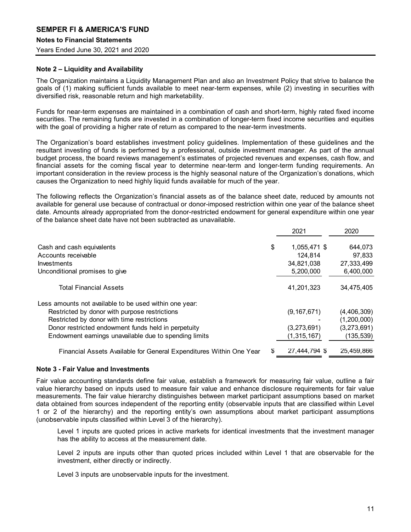## Note 2 – Liquidity and Availability

The Organization maintains a Liquidity Management Plan and also an Investment Policy that strive to balance the goals of (1) making sufficient funds available to meet near-term expenses, while (2) investing in securities with diversified risk, reasonable return and high marketability.

Funds for near-term expenses are maintained in a combination of cash and short-term, highly rated fixed income securities. The remaining funds are invested in a combination of longer-term fixed income securities and equities with the goal of providing a higher rate of return as compared to the near-term investments.

The Organization's board establishes investment policy guidelines. Implementation of these guidelines and the resultant investing of funds is performed by a professional, outside investment manager. As part of the annual budget process, the board reviews management's estimates of projected revenues and expenses, cash flow, and financial assets for the coming fiscal year to determine near-term and longer-term funding requirements. An important consideration in the review process is the highly seasonal nature of the Organization's donations, which causes the Organization to need highly liquid funds available for much of the year.

The following reflects the Organization's financial assets as of the balance sheet date, reduced by amounts not available for general use because of contractual or donor-imposed restriction within one year of the balance sheet date. Amounts already appropriated from the donor-restricted endowment for general expenditure within one year of the balance sheet date have not been subtracted as unavailable.

|                                                                     |    | 2021          | 2020        |
|---------------------------------------------------------------------|----|---------------|-------------|
| Cash and cash equivalents                                           | \$ | 1,055,471 \$  | 644.073     |
| Accounts receivable                                                 |    | 124.814       | 97.833      |
| <b>Investments</b>                                                  |    | 34,821,038    | 27,333,499  |
| Unconditional promises to give                                      |    | 5,200,000     | 6,400,000   |
| <b>Total Financial Assets</b>                                       |    | 41.201.323    | 34,475,405  |
| Less amounts not available to be used within one year:              |    |               |             |
| Restricted by donor with purpose restrictions                       |    | (9, 167, 671) | (4,406,309) |
| Restricted by donor with time restrictions                          |    |               | (1,200,000) |
| Donor restricted endowment funds held in perpetuity                 |    | (3,273,691)   | (3,273,691) |
| Endowment earnings unavailable due to spending limits               |    | (1,315,167)   | (135,539)   |
| Financial Assets Available for General Expenditures Within One Year | æ. | 27,444,794 \$ | 25,459,866  |

#### Note 3 - Fair Value and Investments

Fair value accounting standards define fair value, establish a framework for measuring fair value, outline a fair value hierarchy based on inputs used to measure fair value and enhance disclosure requirements for fair value measurements. The fair value hierarchy distinguishes between market participant assumptions based on market data obtained from sources independent of the reporting entity (observable inputs that are classified within Level 1 or 2 of the hierarchy) and the reporting entity's own assumptions about market participant assumptions (unobservable inputs classified within Level 3 of the hierarchy).

Level 1 inputs are quoted prices in active markets for identical investments that the investment manager has the ability to access at the measurement date.

Level 2 inputs are inputs other than quoted prices included within Level 1 that are observable for the investment, either directly or indirectly.

Level 3 inputs are unobservable inputs for the investment.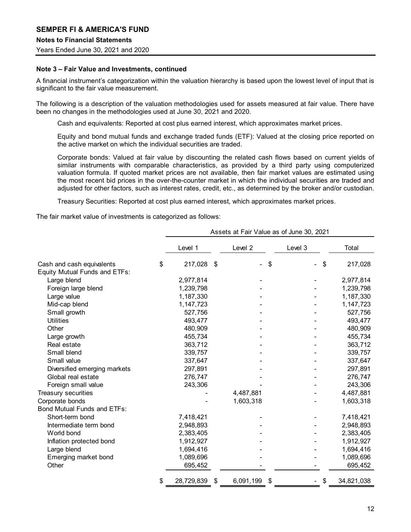# Notes to Financial Statements

Years Ended June 30, 2021 and 2020

## Note 3 – Fair Value and Investments, continued

A financial instrument's categorization within the valuation hierarchy is based upon the lowest level of input that is significant to the fair value measurement.

The following is a description of the valuation methodologies used for assets measured at fair value. There have been no changes in the methodologies used at June 30, 2021 and 2020.

Cash and equivalents: Reported at cost plus earned interest, which approximates market prices.

Equity and bond mutual funds and exchange traded funds (ETF): Valued at the closing price reported on the active market on which the individual securities are traded.

Corporate bonds: Valued at fair value by discounting the related cash flows based on current yields of similar instruments with comparable characteristics, as provided by a third party using computerized valuation formula. If quoted market prices are not available, then fair market values are estimated using the most recent bid prices in the over-the-counter market in which the individual securities are traded and adjusted for other factors, such as interest rates, credit, etc., as determined by the broker and/or custodian.

Treasury Securities: Reported at cost plus earned interest, which approximates market prices.

The fair market value of investments is categorized as follows:

|                               | Assets at Fair Value as of June 30, 2021 |                                |         |            |  |
|-------------------------------|------------------------------------------|--------------------------------|---------|------------|--|
|                               | Level 1                                  | Level 2                        | Level 3 | Total      |  |
| Cash and cash equivalents     | 217,028 \$<br>\$                         | \$<br>$\overline{\phantom{0}}$ | \$      | 217,028    |  |
| Equity Mutual Funds and ETFs: |                                          |                                |         |            |  |
| Large blend                   | 2,977,814                                |                                |         | 2,977,814  |  |
| Foreign large blend           | 1,239,798                                |                                |         | 1,239,798  |  |
| Large value                   | 1,187,330                                |                                |         | 1,187,330  |  |
| Mid-cap blend                 | 1,147,723                                |                                |         | 1,147,723  |  |
| Small growth                  | 527,756                                  |                                |         | 527,756    |  |
| <b>Utilities</b>              | 493,477                                  |                                |         | 493,477    |  |
| Other                         | 480,909                                  |                                |         | 480,909    |  |
| Large growth                  | 455,734                                  |                                |         | 455,734    |  |
| Real estate                   | 363,712                                  |                                |         | 363,712    |  |
| Small blend                   | 339,757                                  |                                |         | 339,757    |  |
| Small value                   | 337,647                                  |                                |         | 337,647    |  |
| Diversified emerging markets  | 297,891                                  |                                |         | 297,891    |  |
| Global real estate            | 276,747                                  |                                |         | 276,747    |  |
| Foreign small value           | 243,306                                  |                                |         | 243,306    |  |
| Treasury securities           |                                          | 4,487,881                      |         | 4,487,881  |  |
| Corporate bonds               |                                          | 1,603,318                      |         | 1,603,318  |  |
| Bond Mutual Funds and ETFs:   |                                          |                                |         |            |  |
| Short-term bond               | 7,418,421                                |                                |         | 7,418,421  |  |
| Intermediate term bond        | 2,948,893                                |                                |         | 2,948,893  |  |
| World bond                    | 2,383,405                                |                                |         | 2,383,405  |  |
| Inflation protected bond      | 1,912,927                                |                                |         | 1,912,927  |  |
| Large blend                   | 1,694,416                                |                                |         | 1,694,416  |  |
| Emerging market bond          | 1,089,696                                |                                |         | 1,089,696  |  |
| Other                         | 695,452                                  |                                |         | 695,452    |  |
|                               | 28,729,839<br>\$<br>-\$                  | 6,091,199<br>\$                |         | 34,821,038 |  |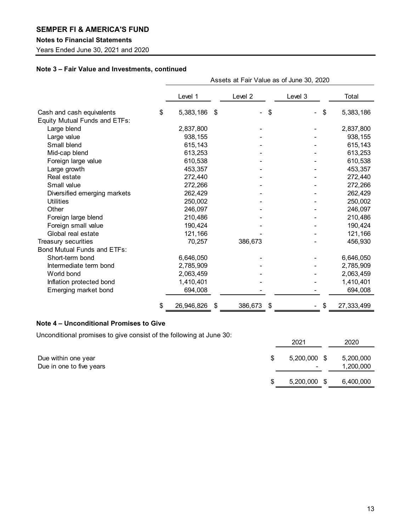## Notes to Financial Statements

Years Ended June 30, 2021 and 2020

# Note 3 – Fair Value and Investments, continued

|                                      |                          | Assets at Fair Value as of June 30, 2020 |         |            |  |  |  |
|--------------------------------------|--------------------------|------------------------------------------|---------|------------|--|--|--|
|                                      | Level 1                  | Level 2                                  | Level 3 | Total      |  |  |  |
| Cash and cash equivalents            | \$<br>5,383,186 \$       | \$                                       | \$      | 5,383,186  |  |  |  |
| <b>Equity Mutual Funds and ETFs:</b> |                          |                                          |         |            |  |  |  |
| Large blend                          | 2,837,800                |                                          |         | 2,837,800  |  |  |  |
| Large value                          | 938,155                  |                                          |         | 938,155    |  |  |  |
| Small blend                          | 615,143                  |                                          |         | 615,143    |  |  |  |
| Mid-cap blend                        | 613,253                  |                                          |         | 613,253    |  |  |  |
| Foreign large value                  | 610,538                  |                                          |         | 610,538    |  |  |  |
| Large growth                         | 453,357                  |                                          |         | 453,357    |  |  |  |
| Real estate                          | 272,440                  |                                          |         | 272,440    |  |  |  |
| Small value                          | 272,266                  |                                          |         | 272,266    |  |  |  |
| Diversified emerging markets         | 262,429                  |                                          |         | 262,429    |  |  |  |
| <b>Utilities</b>                     | 250,002                  |                                          |         | 250,002    |  |  |  |
| Other                                | 246,097                  |                                          |         | 246,097    |  |  |  |
| Foreign large blend                  | 210,486                  |                                          |         | 210,486    |  |  |  |
| Foreign small value                  | 190,424                  |                                          |         | 190,424    |  |  |  |
| Global real estate                   | 121,166                  |                                          |         | 121,166    |  |  |  |
| Treasury securities                  | 70,257                   | 386,673                                  |         | 456,930    |  |  |  |
| Bond Mutual Funds and ETFs:          |                          |                                          |         |            |  |  |  |
| Short-term bond                      | 6,646,050                |                                          |         | 6,646,050  |  |  |  |
| Intermediate term bond               | 2,785,909                |                                          |         | 2,785,909  |  |  |  |
| World bond                           | 2,063,459                |                                          |         | 2,063,459  |  |  |  |
| Inflation protected bond             | 1,410,401                |                                          |         | 1,410,401  |  |  |  |
| Emerging market bond                 | 694,008                  |                                          |         | 694,008    |  |  |  |
|                                      | 26,946,826<br>\$<br>- \$ | 386,673 \$                               |         | 27,333,499 |  |  |  |

# Note 4 – Unconditional Promises to Give

Unconditional promises to give consist of the following at June 30:

|                                                 | 2021                     | 2020                   |
|-------------------------------------------------|--------------------------|------------------------|
| Due within one year<br>Due in one to five years | $5,200,000$ \$<br>$\sim$ | 5,200,000<br>1,200,000 |
|                                                 | 5,200,000 \$             | 6,400,000              |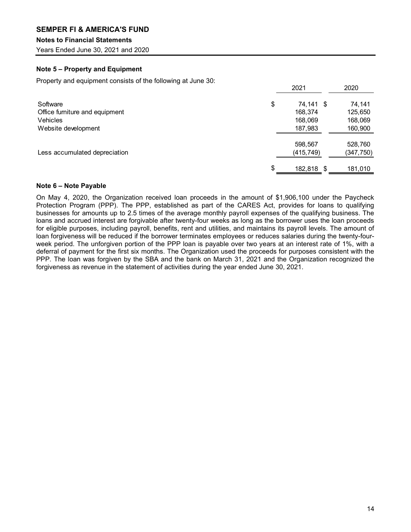# Notes to Financial Statements

Years Ended June 30, 2021 and 2020

# Note 5 – Property and Equipment

Property and equipment consists of the following at June 30:

|                                | 2021       | 2020       |
|--------------------------------|------------|------------|
| Software                       | 74,141 \$  | 74,141     |
| Office furniture and equipment | 168,374    | 125,650    |
| Vehicles                       | 168,069    | 168,069    |
| Website development            | 187,983    | 160,900    |
|                                | 598,567    | 528,760    |
| Less accumulated depreciation  | (415, 749) | (347, 750) |
|                                | 182,818 \$ | 181,010    |

## Note 6 – Note Payable

On May 4, 2020, the Organization received loan proceeds in the amount of \$1,906,100 under the Paycheck Protection Program (PPP). The PPP, established as part of the CARES Act, provides for loans to qualifying businesses for amounts up to 2.5 times of the average monthly payroll expenses of the qualifying business. The loans and accrued interest are forgivable after twenty-four weeks as long as the borrower uses the loan proceeds for eligible purposes, including payroll, benefits, rent and utilities, and maintains its payroll levels. The amount of loan forgiveness will be reduced if the borrower terminates employees or reduces salaries during the twenty-fourweek period. The unforgiven portion of the PPP loan is payable over two years at an interest rate of 1%, with a deferral of payment for the first six months. The Organization used the proceeds for purposes consistent with the PPP. The loan was forgiven by the SBA and the bank on March 31, 2021 and the Organization recognized the forgiveness as revenue in the statement of activities during the year ended June 30, 2021.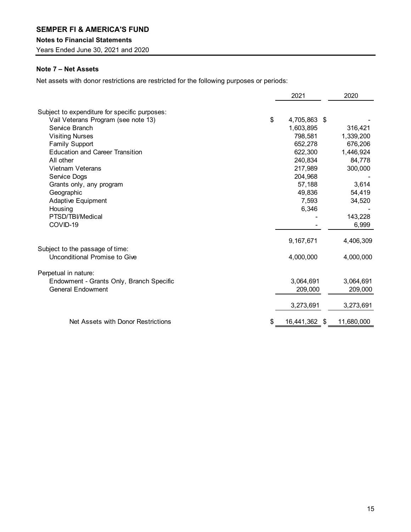## Notes to Financial Statements

Years Ended June 30, 2021 and 2020

# Note 7 – Net Assets

Net assets with donor restrictions are restricted for the following purposes or periods:

|                                               | 2021                | 2020       |
|-----------------------------------------------|---------------------|------------|
| Subject to expenditure for specific purposes: |                     |            |
| Vail Veterans Program (see note 13)           | \$<br>4,705,863 \$  |            |
| Service Branch                                | 1,603,895           | 316,421    |
| <b>Visiting Nurses</b>                        | 798,581             | 1,339,200  |
| <b>Family Support</b>                         | 652,278             | 676,206    |
| <b>Education and Career Transition</b>        | 622,300             | 1,446,924  |
| All other                                     | 240,834             | 84,778     |
| Vietnam Veterans                              | 217,989             | 300,000    |
| Service Dogs                                  | 204,968             |            |
| Grants only, any program                      | 57,188              | 3,614      |
| Geographic                                    | 49,836              | 54,419     |
| Adaptive Equipment                            | 7,593               | 34,520     |
| Housing                                       | 6,346               |            |
| PTSD/TBI/Medical                              |                     | 143,228    |
| COVID-19                                      |                     | 6,999      |
|                                               | 9,167,671           | 4,406,309  |
| Subject to the passage of time:               |                     |            |
| Unconditional Promise to Give                 | 4,000,000           | 4,000,000  |
| Perpetual in nature:                          |                     |            |
| Endowment - Grants Only, Branch Specific      | 3,064,691           | 3,064,691  |
| <b>General Endowment</b>                      | 209,000             | 209,000    |
|                                               | 3,273,691           | 3,273,691  |
| Net Assets with Donor Restrictions            | \$<br>16,441,362 \$ | 11,680,000 |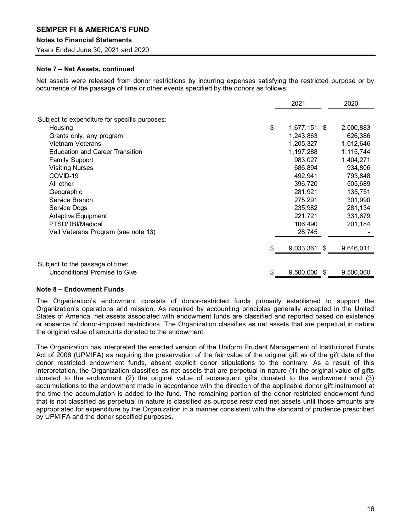## Notes to Financial Statements

Years Ended June 30, 2021 and 2020

## Note 7 – Net Assets, continued

Net assets were released from donor restrictions by incurring expenses satisfying the restricted purpose or by occurrence of the passage of time or other events specified by the donors as follows:

|                                               | 2021                 | 2020      |
|-----------------------------------------------|----------------------|-----------|
| Subject to expenditure for specific purposes: |                      |           |
| Housing                                       | \$<br>$1,677,151$ \$ | 2,000,883 |
| Grants only, any program                      | 1,243,863            | 626,386   |
| <b>Vietnam Veterans</b>                       | 1,205,327            | 1,012,646 |
| <b>Education and Career Transition</b>        | 1,197,288            | 1,115,744 |
| <b>Family Support</b>                         | 983,027              | 1,404,271 |
| <b>Visiting Nurses</b>                        | 686,894              | 934,806   |
| COVID-19                                      | 492,941              | 793,848   |
| All other                                     | 396,720              | 505,689   |
| Geographic                                    | 281,921              | 135,751   |
| Service Branch                                | 275,291              | 301,990   |
| Service Dogs                                  | 235,982              | 281,134   |
| <b>Adaptive Equipment</b>                     | 221,721              | 331,679   |
| PTSD/TBI/Medical                              | 106,490              | 201,184   |
| Vail Veterans Program (see note 13)           | 28,745               |           |
|                                               | \$<br>9,033,361 \$   | 9,646,011 |
| Subject to the passage of time:               |                      |           |
| Unconditional Promise to Give                 | \$<br>9,500,000 \$   | 9,500,000 |

#### Note 8 – Endowment Funds

The Organization's endowment consists of donor-restricted funds primarily established to support the Organization's operations and mission. As required by accounting principles generally accepted in the United States of America, net assets associated with endowment funds are classified and reported based on existence or absence of donor-imposed restrictions. The Organization classifies as net assets that are perpetual in nature the original value of amounts donated to the endowment.

The Organization has interpreted the enacted version of the Uniform Prudent Management of Institutional Funds Act of 2006 (UPMIFA) as requiring the preservation of the fair value of the original gift as of the gift date of the donor restricted endowment funds, absent explicit donor stipulations to the contrary. As a result of this interpretation, the Organization classifies as net assets that are perpetual in nature (1) the original value of gifts donated to the endowment (2) the original value of subsequent gifts donated to the endowment and (3) accumulations to the endowment made in accordance with the direction of the applicable donor gift instrument at the time the accumulation is added to the fund. The remaining portion of the donor-restricted endowment fund that is not classified as perpetual in nature is classified as purpose restricted net assets until those amounts are appropriated for expenditure by the Organization in a manner consistent with the standard of prudence prescribed by UPMIFA and the donor specified purposes.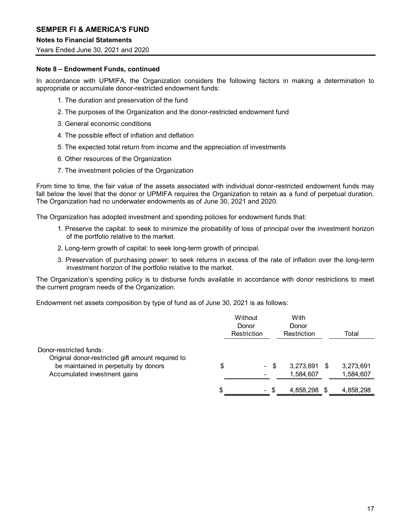## Notes to Financial Statements

Years Ended June 30, 2021 and 2020

## Note 8 – Endowment Funds, continued

In accordance with UPMIFA, the Organization considers the following factors in making a determination to appropriate or accumulate donor-restricted endowment funds:

- 1. The duration and preservation of the fund
- 2. The purposes of the Organization and the donor-restricted endowment fund
- 3. General economic conditions
- 4. The possible effect of inflation and deflation
- 5. The expected total return from income and the appreciation of investments
- 6. Other resources of the Organization
- 7. The investment policies of the Organization

From time to time, the fair value of the assets associated with individual donor-restricted endowment funds may fall below the level that the donor or UPMIFA requires the Organization to retain as a fund of perpetual duration. The Organization had no underwater endowments as of June 30, 2021 and 2020.

The Organization has adopted investment and spending policies for endowment funds that:

- 1. Preserve the capital: to seek to minimize the probability of loss of principal over the investment horizon of the portfolio relative to the market.
- 2. Long-term growth of capital: to seek long-term growth of principal.
- 3. Preservation of purchasing power: to seek returns in excess of the rate of inflation over the long-term investment horizon of the portfolio relative to the market.

The Organization's spending policy is to disburse funds available in accordance with donor restrictions to meet the current program needs of the Organization.

Endowment net assets composition by type of fund as of June 30, 2021 is as follows:

|                                                                                            |   | Without<br>Donor<br>Restriction |      | With<br>Donor<br>Restriction | Total     |
|--------------------------------------------------------------------------------------------|---|---------------------------------|------|------------------------------|-----------|
| Donor-restricted funds:                                                                    |   |                                 |      |                              |           |
| Original donor-restricted gift amount required to<br>be maintained in perpetuity by donors |   |                                 | - \$ | 3,273,691 \$                 | 3,273,691 |
| Accumulated investment gains                                                               |   |                                 |      | ,584,607                     | 1,584,607 |
|                                                                                            | æ | – ა                             |      | 4,858,298 \$                 | 4,858,298 |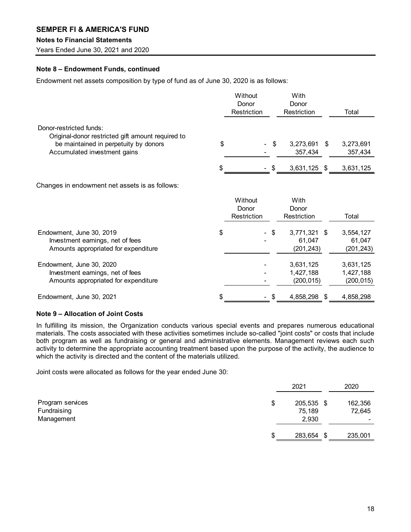## Notes to Financial Statements

Years Ended June 30, 2021 and 2020

# Note 8 – Endowment Funds, continued

Endowment net assets composition by type of fund as of June 30, 2020 is as follows:

|                                                                                                      | Without<br>Donor<br>Restriction |      | With<br>Donor<br>Restriction         |      | Total                                |
|------------------------------------------------------------------------------------------------------|---------------------------------|------|--------------------------------------|------|--------------------------------------|
| Donor-restricted funds:<br>Original-donor restricted gift amount required to                         |                                 |      |                                      |      |                                      |
| be maintained in perpetuity by donors<br>Accumulated investment gains                                | \$<br>$\sim$                    | \$   | 3,273,691<br>357,434                 | - \$ | 3,273,691<br>357,434                 |
|                                                                                                      | \$                              | - \$ | $3,631,125$ \$                       |      | 3,631,125                            |
| Changes in endowment net assets is as follows:                                                       |                                 |      |                                      |      |                                      |
|                                                                                                      | Without<br>Donor<br>Restriction |      | With<br>Donor<br>Restriction         |      | Total                                |
| Endowment, June 30, 2019<br>Investment earnings, net of fees<br>Amounts appropriated for expenditure | \$                              | - \$ | 3,771,321 \$<br>61,047<br>(201, 243) |      | 3,554,127<br>61,047<br>(201, 243)    |
| Endowment, June 30, 2020<br>Investment earnings, net of fees<br>Amounts appropriated for expenditure |                                 |      | 3,631,125<br>1,427,188<br>(200, 015) |      | 3,631,125<br>1,427,188<br>(200, 015) |
| Endowment, June 30, 2021                                                                             | \$                              | - \$ | 4,858,298 \$                         |      | 4,858,298                            |

# Note 9 – Allocation of Joint Costs

In fulfilling its mission, the Organization conducts various special events and prepares numerous educational materials. The costs associated with these activities sometimes include so-called "joint costs" or costs that include both program as well as fundraising or general and administrative elements. Management reviews each such activity to determine the appropriate accounting treatment based upon the purpose of the activity, the audience to which the activity is directed and the content of the materials utilized.

Joint costs were allocated as follows for the year ended June 30:

| 2020<br>2021                              |
|-------------------------------------------|
| Program services<br>205,535 \$<br>162,356 |
| Fundraising<br>75,189<br>72,645           |
| Management<br>2,930                       |
|                                           |
| 283,654 \$<br>235,001                     |